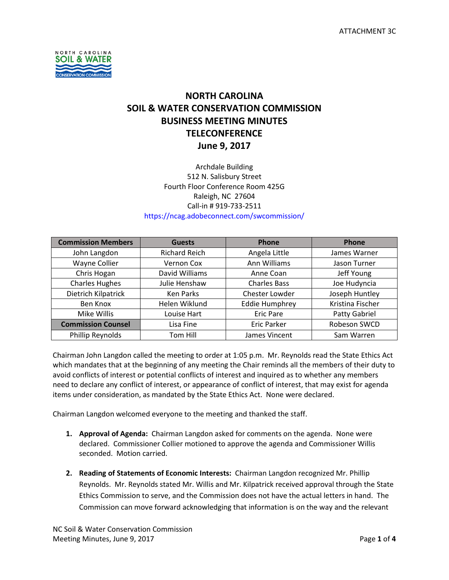

# **NORTH CAROLINA SOIL & WATER CONSERVATION COMMISSION BUSINESS MEETING MINUTES TELECONFERENCE June 9, 2017**

### Archdale Building 512 N. Salisbury Street Fourth Floor Conference Room 425G Raleigh, NC 27604 Call-in # 919-733-2511 https://ncag.adobeconnect.com/swcommission/

| <b>Commission Members</b> | <b>Guests</b>        | Phone                 | <b>Phone</b>     |
|---------------------------|----------------------|-----------------------|------------------|
| John Langdon              | <b>Richard Reich</b> | Angela Little         | James Warner     |
| Wayne Collier             | Vernon Cox           | Ann Williams          | Jason Turner     |
| Chris Hogan               | David Williams       | Anne Coan             | Jeff Young       |
| <b>Charles Hughes</b>     | Julie Henshaw        | <b>Charles Bass</b>   | Joe Hudyncia     |
| Dietrich Kilpatrick       | <b>Ken Parks</b>     | Chester Lowder        | Joseph Huntley   |
| Ben Knox                  | Helen Wiklund        | <b>Eddie Humphrey</b> | Kristina Fischer |
| Mike Willis               | Louise Hart          | <b>Eric Pare</b>      | Patty Gabriel    |
| <b>Commission Counsel</b> | Lisa Fine            | <b>Eric Parker</b>    | Robeson SWCD     |
| Phillip Reynolds          | Tom Hill             | James Vincent         | Sam Warren       |

Chairman John Langdon called the meeting to order at 1:05 p.m. Mr. Reynolds read the State Ethics Act which mandates that at the beginning of any meeting the Chair reminds all the members of their duty to avoid conflicts of interest or potential conflicts of interest and inquired as to whether any members need to declare any conflict of interest, or appearance of conflict of interest, that may exist for agenda items under consideration, as mandated by the State Ethics Act. None were declared.

Chairman Langdon welcomed everyone to the meeting and thanked the staff.

- **1. Approval of Agenda:** Chairman Langdon asked for comments on the agenda. None were declared. Commissioner Collier motioned to approve the agenda and Commissioner Willis seconded. Motion carried.
- **2. Reading of Statements of Economic Interests:** Chairman Langdon recognized Mr. Phillip Reynolds. Mr. Reynolds stated Mr. Willis and Mr. Kilpatrick received approval through the State Ethics Commission to serve, and the Commission does not have the actual letters in hand. The Commission can move forward acknowledging that information is on the way and the relevant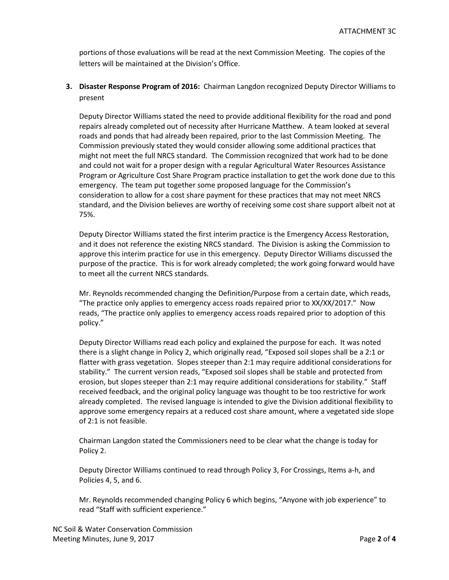portions of those evaluations will be read at the next Commission Meeting. The copies of the letters will be maintained at the Division's Office.

**3. Disaster Response Program of 2016:** Chairman Langdon recognized Deputy Director Williams to present

Deputy Director Williams stated the need to provide additional flexibility for the road and pond repairs already completed out of necessity after Hurricane Matthew. A team looked at several roads and ponds that had already been repaired, prior to the last Commission Meeting. The Commission previously stated they would consider allowing some additional practices that might not meet the full NRCS standard. The Commission recognized that work had to be done and could not wait for a proper design with a regular Agricultural Water Resources Assistance Program or Agriculture Cost Share Program practice installation to get the work done due to this emergency. The team put together some proposed language for the Commission's consideration to allow for a cost share payment for these practices that may not meet NRCS standard, and the Division believes are worthy of receiving some cost share support albeit not at 75%.

Deputy Director Williams stated the first interim practice is the Emergency Access Restoration, and it does not reference the existing NRCS standard. The Division is asking the Commission to approve this interim practice for use in this emergency. Deputy Director Williams discussed the purpose of the practice. This is for work already completed; the work going forward would have to meet all the current NRCS standards.

Mr. Reynolds recommended changing the Definition/Purpose from a certain date, which reads, "The practice only applies to emergency access roads repaired prior to XX/XX/2017." Now reads, "The practice only applies to emergency access roads repaired prior to adoption of this policy."

Deputy Director Williams read each policy and explained the purpose for each. It was noted there is a slight change in Policy 2, which originally read, "Exposed soil slopes shall be a 2:1 or flatter with grass vegetation. Slopes steeper than 2:1 may require additional considerations for stability." The current version reads, "Exposed soil slopes shall be stable and protected from erosion, but slopes steeper than 2:1 may require additional considerations for stability." Staff received feedback, and the original policy language was thought to be too restrictive for work already completed. The revised language is intended to give the Division additional flexibility to approve some emergency repairs at a reduced cost share amount, where a vegetated side slope of 2:1 is not feasible.

Chairman Langdon stated the Commissioners need to be clear what the change is today for Policy 2.

Deputy Director Williams continued to read through Policy 3, For Crossings, Items a-h, and Policies 4, 5, and 6.

Mr. Reynolds recommended changing Policy 6 which begins, "Anyone with job experience" to read "Staff with sufficient experience."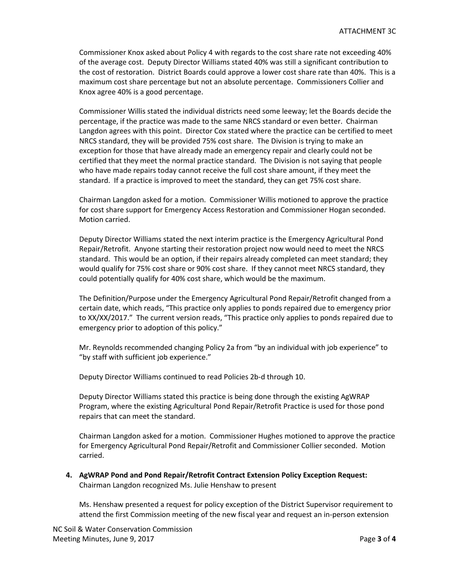Commissioner Knox asked about Policy 4 with regards to the cost share rate not exceeding 40% of the average cost. Deputy Director Williams stated 40% was still a significant contribution to the cost of restoration. District Boards could approve a lower cost share rate than 40%. This is a maximum cost share percentage but not an absolute percentage. Commissioners Collier and Knox agree 40% is a good percentage.

Commissioner Willis stated the individual districts need some leeway; let the Boards decide the percentage, if the practice was made to the same NRCS standard or even better. Chairman Langdon agrees with this point. Director Cox stated where the practice can be certified to meet NRCS standard, they will be provided 75% cost share. The Division is trying to make an exception for those that have already made an emergency repair and clearly could not be certified that they meet the normal practice standard. The Division is not saying that people who have made repairs today cannot receive the full cost share amount, if they meet the standard. If a practice is improved to meet the standard, they can get 75% cost share.

Chairman Langdon asked for a motion. Commissioner Willis motioned to approve the practice for cost share support for Emergency Access Restoration and Commissioner Hogan seconded. Motion carried.

Deputy Director Williams stated the next interim practice is the Emergency Agricultural Pond Repair/Retrofit. Anyone starting their restoration project now would need to meet the NRCS standard. This would be an option, if their repairs already completed can meet standard; they would qualify for 75% cost share or 90% cost share. If they cannot meet NRCS standard, they could potentially qualify for 40% cost share, which would be the maximum.

The Definition/Purpose under the Emergency Agricultural Pond Repair/Retrofit changed from a certain date, which reads, "This practice only applies to ponds repaired due to emergency prior to XX/XX/2017." The current version reads, "This practice only applies to ponds repaired due to emergency prior to adoption of this policy."

Mr. Reynolds recommended changing Policy 2a from "by an individual with job experience" to "by staff with sufficient job experience."

Deputy Director Williams continued to read Policies 2b-d through 10.

Deputy Director Williams stated this practice is being done through the existing AgWRAP Program, where the existing Agricultural Pond Repair/Retrofit Practice is used for those pond repairs that can meet the standard.

Chairman Langdon asked for a motion. Commissioner Hughes motioned to approve the practice for Emergency Agricultural Pond Repair/Retrofit and Commissioner Collier seconded. Motion carried.

**4. AgWRAP Pond and Pond Repair/Retrofit Contract Extension Policy Exception Request:** Chairman Langdon recognized Ms. Julie Henshaw to present

Ms. Henshaw presented a request for policy exception of the District Supervisor requirement to attend the first Commission meeting of the new fiscal year and request an in-person extension

NC Soil & Water Conservation Commission Meeting Minutes, June 9, 2017 **Page 3** of 4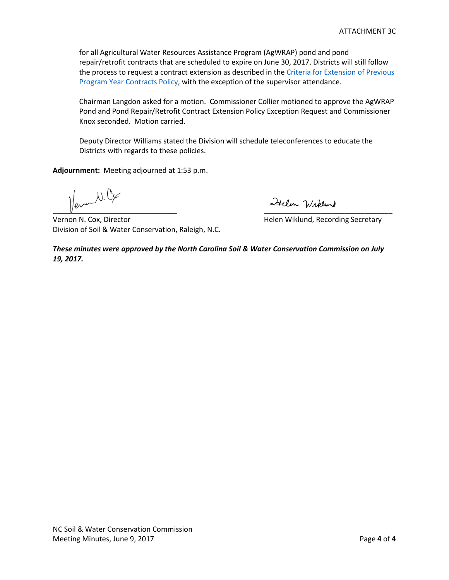for all Agricultural Water Resources Assistance Program (AgWRAP) pond and pond repair/retrofit contracts that are scheduled to expire on June 30, 2017. Districts will still follow the process to request a contract extension as described in the Criteria for Extension of Previous Program Year Contracts Policy, with the exception of the supervisor attendance.

Chairman Langdon asked for a motion. Commissioner Collier motioned to approve the AgWRAP Pond and Pond Repair/Retrofit Contract Extension Policy Exception Request and Commissioner Knox seconded. Motion carried.

Deputy Director Williams stated the Division will schedule teleconferences to educate the Districts with regards to these policies.

**Adjournment:** Meeting adjourned at 1:53 p.m.

 $W_{\mathscr{C}}$  $\frac{1}{2}$ 

Vernon N. Cox, Director **N. Cox, Director** Miklund, Recording Secretary Division of Soil & Water Conservation, Raleigh, N.C.

*These minutes were approved by the North Carolina Soil & Water Conservation Commission on July 19, 2017.*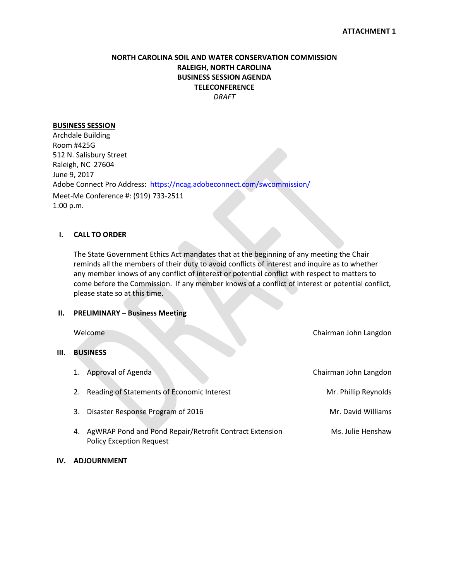#### **NORTH CAROLINA SOIL AND WATER CONSERVATION COMMISSION RALEIGH, NORTH CAROLINA BUSINESS SESSION AGENDA TELECONFERENCE** *DRAFT*

#### **BUSINESS SESSION**

Archdale Building Room #425G 512 N. Salisbury Street Raleigh, NC 27604 June 9, 2017 Adobe Connect Pro Address: <https://ncag.adobeconnect.com/swcommission/> Meet-Me Conference #: (919) 733-2511 1:00 p.m.

#### **I. CALL TO ORDER**

The State Government Ethics Act mandates that at the beginning of any meeting the Chair reminds all the members of their duty to avoid conflicts of interest and inquire as to whether any member knows of any conflict of interest or potential conflict with respect to matters to come before the Commission. If any member knows of a conflict of interest or potential conflict, please state so at this time.

#### **II. PRELIMINARY – Business Meeting**

|    | Welcome                                                                                          | Chairman John Langdon |
|----|--------------------------------------------------------------------------------------------------|-----------------------|
| Ш. | <b>BUSINESS</b>                                                                                  |                       |
|    | Approval of Agenda<br>1.                                                                         | Chairman John Langdon |
|    | Reading of Statements of Economic Interest<br>2.                                                 | Mr. Phillip Reynolds  |
|    | Disaster Response Program of 2016<br>3.                                                          | Mr. David Williams    |
|    | AgWRAP Pond and Pond Repair/Retrofit Contract Extension<br>4.<br><b>Policy Exception Request</b> | Ms. Julie Henshaw     |

**IV. ADJOURNMENT**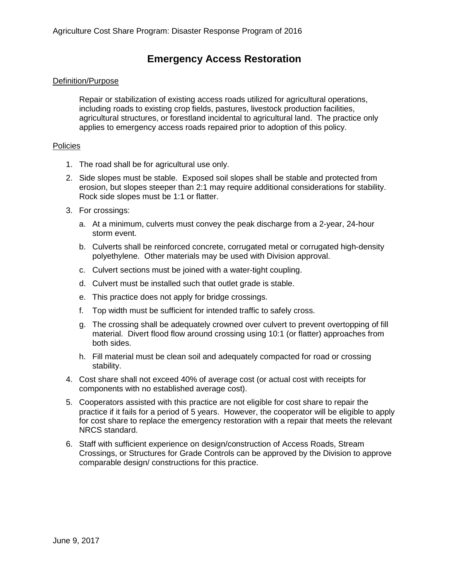## **Emergency Access Restoration**

#### Definition/Purpose

Repair or stabilization of existing access roads utilized for agricultural operations, including roads to existing crop fields, pastures, livestock production facilities, agricultural structures, or forestland incidental to agricultural land. The practice only applies to emergency access roads repaired prior to adoption of this policy.

#### **Policies**

- 1. The road shall be for agricultural use only.
- 2. Side slopes must be stable. Exposed soil slopes shall be stable and protected from erosion, but slopes steeper than 2:1 may require additional considerations for stability. Rock side slopes must be 1:1 or flatter.
- 3. For crossings:
	- a. At a minimum, culverts must convey the peak discharge from a 2-year, 24-hour storm event.
	- b. Culverts shall be reinforced concrete, corrugated metal or corrugated high-density polyethylene. Other materials may be used with Division approval.
	- c. Culvert sections must be joined with a water-tight coupling.
	- d. Culvert must be installed such that outlet grade is stable.
	- e. This practice does not apply for bridge crossings.
	- f. Top width must be sufficient for intended traffic to safely cross.
	- g. The crossing shall be adequately crowned over culvert to prevent overtopping of fill material. Divert flood flow around crossing using 10:1 (or flatter) approaches from both sides.
	- h. Fill material must be clean soil and adequately compacted for road or crossing stability.
- 4. Cost share shall not exceed 40% of average cost (or actual cost with receipts for components with no established average cost).
- 5. Cooperators assisted with this practice are not eligible for cost share to repair the practice if it fails for a period of 5 years. However, the cooperator will be eligible to apply for cost share to replace the emergency restoration with a repair that meets the relevant NRCS standard.
- 6. Staff with sufficient experience on design/construction of Access Roads, Stream Crossings, or Structures for Grade Controls can be approved by the Division to approve comparable design/ constructions for this practice.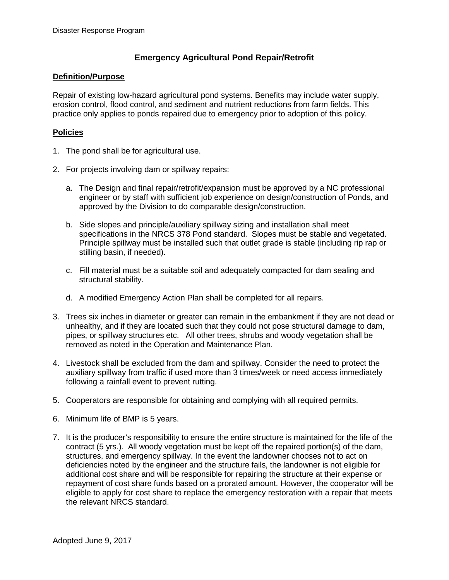## **Emergency Agricultural Pond Repair/Retrofit**

### **Definition/Purpose**

Repair of existing low-hazard agricultural pond systems. Benefits may include water supply, erosion control, flood control, and sediment and nutrient reductions from farm fields. This practice only applies to ponds repaired due to emergency prior to adoption of this policy.

## **Policies**

- 1. The pond shall be for agricultural use.
- 2. For projects involving dam or spillway repairs:
	- a. The Design and final repair/retrofit/expansion must be approved by a NC professional engineer or by staff with sufficient job experience on design/construction of Ponds, and approved by the Division to do comparable design/construction.
	- b. Side slopes and principle/auxiliary spillway sizing and installation shall meet specifications in the NRCS 378 Pond standard. Slopes must be stable and vegetated. Principle spillway must be installed such that outlet grade is stable (including rip rap or stilling basin, if needed).
	- c. Fill material must be a suitable soil and adequately compacted for dam sealing and structural stability.
	- d. A modified Emergency Action Plan shall be completed for all repairs.
- 3. Trees six inches in diameter or greater can remain in the embankment if they are not dead or unhealthy, and if they are located such that they could not pose structural damage to dam, pipes, or spillway structures etc. All other trees, shrubs and woody vegetation shall be removed as noted in the Operation and Maintenance Plan.
- 4. Livestock shall be excluded from the dam and spillway. Consider the need to protect the auxiliary spillway from traffic if used more than 3 times/week or need access immediately following a rainfall event to prevent rutting.
- 5. Cooperators are responsible for obtaining and complying with all required permits.
- 6. Minimum life of BMP is 5 years.
- 7. It is the producer's responsibility to ensure the entire structure is maintained for the life of the contract (5 yrs.). All woody vegetation must be kept off the repaired portion(s) of the dam, structures, and emergency spillway. In the event the landowner chooses not to act on deficiencies noted by the engineer and the structure fails, the landowner is not eligible for additional cost share and will be responsible for repairing the structure at their expense or repayment of cost share funds based on a prorated amount. However, the cooperator will be eligible to apply for cost share to replace the emergency restoration with a repair that meets the relevant NRCS standard.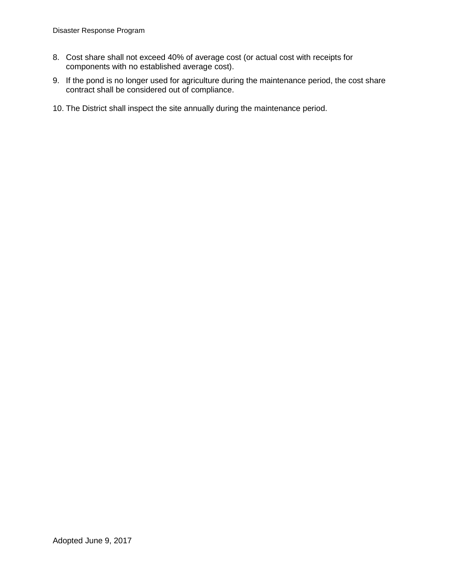- 8. Cost share shall not exceed 40% of average cost (or actual cost with receipts for components with no established average cost).
- 9. If the pond is no longer used for agriculture during the maintenance period, the cost share contract shall be considered out of compliance.
- 10. The District shall inspect the site annually during the maintenance period.